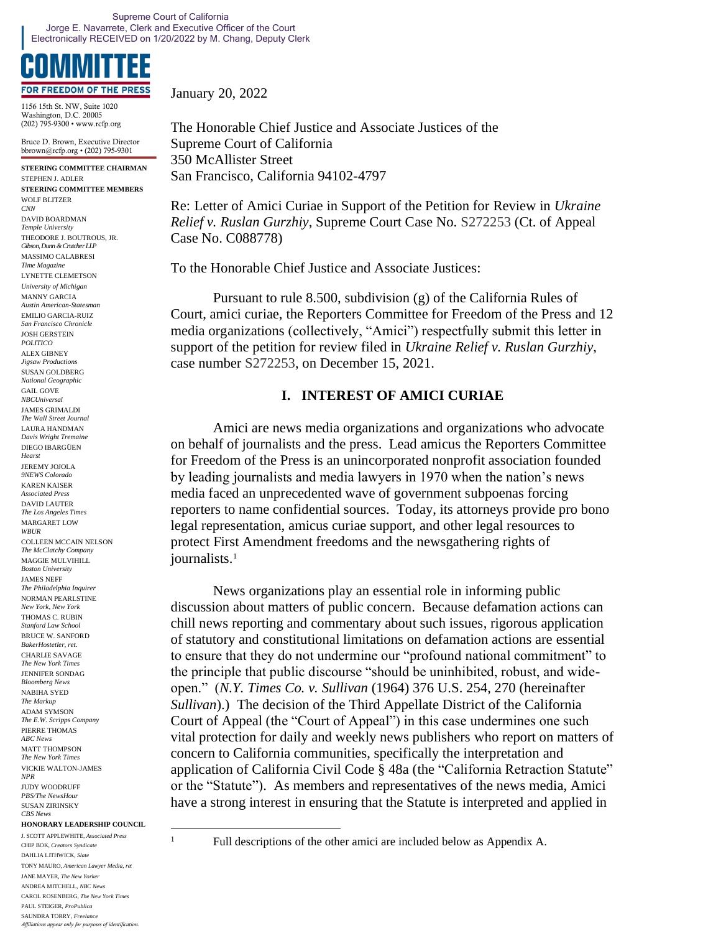# **FOR FREEDOM OF THE PRESS**

1156 15th St. NW, Suite 1020 Washington, D.C. 20005 (202) 795-9300 • www.rcfp.org

Bruce D. Brown, Executive Director bbrown@rcfp.org • (202) 795-9301

**STEERING COMMITTEE CHAIRMAN** STEPHEN J. ADLER **STEERING COMMITTEE MEMBERS** WOLF BLITZER *CNN* DAVID BOARDMAN *Temple University* THEODORE I. BOUTROUS, JR. *Gibson, Dunn & Crutcher LLP* MASSIMO CALABRESI *Time Magazine* LYNETTE CLEMETSON *University of Michigan* MANNY GARCIA *Austin American-Statesman* EMILIO GARCIA-RUIZ *San Francisco Chronicle* JOSH GERSTEIN *POLITICO* ALEX GIBNEY *Jigsaw Productions* SUSAN GOLDBERG *National Geographic* GAIL GOVE *NBCUniversal* JAMES GRIMALDI *The Wall Street Journal* LAURA HANDMAN *Davis Wright Tremaine* DIEGO IBARGÜEN *Hearst* JEREMY JOJOLA *9NEWS Colorado* KAREN KAISER *Associated Press* DAVID LAUTER *The Los Angeles Times* MARGARET LOW *WBUR* COLLEEN MCCAIN NELSON *The McClatchy Company* MAGGIE MULVIHILL *Boston University* JAMES NEFF *The Philadelphia Inquirer* NORMAN PEARLSTINE *New York, New York* THOMAS C. RUBIN *Stanford Law School* BRUCE W. SANFORD *BakerHostetler, ret.* CHARLIE SAVAGE *The New York Times* JENNIFER SONDAG *Bloomberg News* NABIHA SYED *The Markup* ADAM SYMSON *The E.W. Scripps Company* PIERRE THOMAS *ABC News* MATT THOMPSON *The New York Times* VICKIE WALTON-JAMES *NPR* JUDY WOODRUFF *PBS/The NewsHour* SUSAN ZIRINSKY *CBS News*

#### **HONORARY LEADERSHIP COUNCIL**

J. SCOTT APPLEWHITE*, Associated Press* CHIP BOK, *Creators Syndicate* DAHLIA LITHWICK, *Slate* TONY MAURO, *American Lawyer Media, ret* JANE MAYER, *The New Yorker* ANDREA MITCHELL, *NBC News* CAROL ROSENBERG, *The New York Times* PAUL STEIGER, *ProPublica* SAUNDRA TORRY, *Freelance Affiliations appear only for purposes of identification.* January 20, 2022

The Honorable Chief Justice and Associate Justices of the Supreme Court of California 350 McAllister Street San Francisco, California 94102-4797

Re: Letter of Amici Curiae in Support of the Petition for Review in *Ukraine Relief v. Ruslan Gurzhiy*, Supreme Court Case No. S272253 (Ct. of Appeal Case No. C088778)

To the Honorable Chief Justice and Associate Justices:

Pursuant to rule 8.500, subdivision (g) of the California Rules of Court, amici curiae, the Reporters Committee for Freedom of the Press and 12 media organizations (collectively, "Amici") respectfully submit this letter in support of the petition for review filed in *Ukraine Relief v. Ruslan Gurzhiy*, case number S272253, on December 15, 2021.

### **I. INTEREST OF AMICI CURIAE**

Amici are news media organizations and organizations who advocate on behalf of journalists and the press. Lead amicus the Reporters Committee for Freedom of the Press is an unincorporated nonprofit association founded by leading journalists and media lawyers in 1970 when the nation's news media faced an unprecedented wave of government subpoenas forcing reporters to name confidential sources. Today, its attorneys provide pro bono legal representation, amicus curiae support, and other legal resources to protect First Amendment freedoms and the newsgathering rights of journalists.<sup>1</sup>

News organizations play an essential role in informing public discussion about matters of public concern. Because defamation actions can chill news reporting and commentary about such issues, rigorous application of statutory and constitutional limitations on defamation actions are essential to ensure that they do not undermine our "profound national commitment" to the principle that public discourse "should be uninhibited, robust, and wideopen." (*N.Y. Times Co. v. Sullivan* (1964) 376 U.S. 254, 270 (hereinafter *Sullivan*).) The decision of the Third Appellate District of the California Court of Appeal (the "Court of Appeal") in this case undermines one such vital protection for daily and weekly news publishers who report on matters of concern to California communities, specifically the interpretation and application of California Civil Code § 48a (the "California Retraction Statute" or the "Statute"). As members and representatives of the news media, Amici have a strong interest in ensuring that the Statute is interpreted and applied in

<sup>&</sup>lt;sup>1</sup> Full descriptions of the other amici are included below as Appendix A.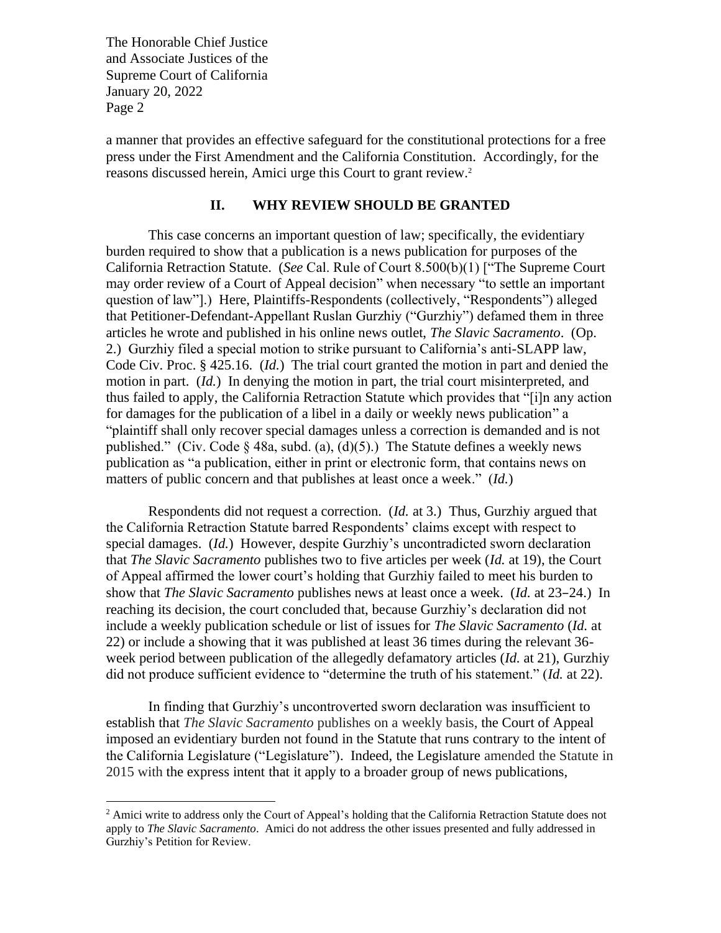a manner that provides an effective safeguard for the constitutional protections for a free press under the First Amendment and the California Constitution. Accordingly, for the reasons discussed herein, Amici urge this Court to grant review.<sup>2</sup>

#### **II. WHY REVIEW SHOULD BE GRANTED**

This case concerns an important question of law; specifically, the evidentiary burden required to show that a publication is a news publication for purposes of the California Retraction Statute. (*See* Cal. Rule of Court 8.500(b)(1) ["The Supreme Court may order review of a Court of Appeal decision" when necessary "to settle an important question of law"].) Here, Plaintiffs-Respondents (collectively, "Respondents") alleged that Petitioner-Defendant-Appellant Ruslan Gurzhiy ("Gurzhiy") defamed them in three articles he wrote and published in his online news outlet, *The Slavic Sacramento*. (Op. 2.) Gurzhiy filed a special motion to strike pursuant to California's anti-SLAPP law, Code Civ. Proc. § 425.16. (*Id.*) The trial court granted the motion in part and denied the motion in part. (*Id.*) In denying the motion in part, the trial court misinterpreted, and thus failed to apply, the California Retraction Statute which provides that "[i]n any action for damages for the publication of a libel in a daily or weekly news publication" a "plaintiff shall only recover special damages unless a correction is demanded and is not published." (Civ. Code  $\S$  48a, subd. (a), (d)(5).) The Statute defines a weekly news publication as "a publication, either in print or electronic form, that contains news on matters of public concern and that publishes at least once a week." (*Id.*)

Respondents did not request a correction. (*Id.* at 3.) Thus, Gurzhiy argued that the California Retraction Statute barred Respondents' claims except with respect to special damages. (*Id.*) However, despite Gurzhiy's uncontradicted sworn declaration that *The Slavic Sacramento* publishes two to five articles per week (*Id.* at 19), the Court of Appeal affirmed the lower court's holding that Gurzhiy failed to meet his burden to show that *The Slavic Sacramento* publishes news at least once a week. (*Id.* at 23–24.) In reaching its decision, the court concluded that, because Gurzhiy's declaration did not include a weekly publication schedule or list of issues for *The Slavic Sacramento* (*Id.* at 22) or include a showing that it was published at least 36 times during the relevant 36 week period between publication of the allegedly defamatory articles (*Id.* at 21), Gurzhiy did not produce sufficient evidence to "determine the truth of his statement." (*Id.* at 22).

In finding that Gurzhiy's uncontroverted sworn declaration was insufficient to establish that *The Slavic Sacramento* publishes on a weekly basis, the Court of Appeal imposed an evidentiary burden not found in the Statute that runs contrary to the intent of the California Legislature ("Legislature"). Indeed, the Legislature amended the Statute in 2015 with the express intent that it apply to a broader group of news publications,

<sup>&</sup>lt;sup>2</sup> Amici write to address only the Court of Appeal's holding that the California Retraction Statute does not apply to *The Slavic Sacramento*. Amici do not address the other issues presented and fully addressed in Gurzhiy's Petition for Review.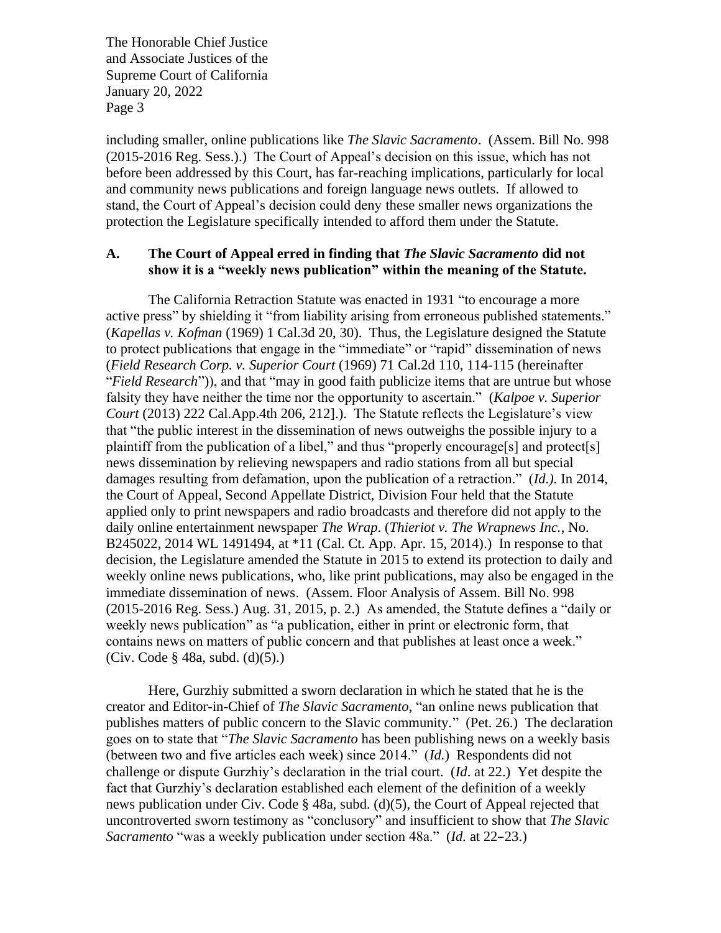including smaller, online publications like *The Slavic Sacramento*.(Assem. Bill No. 998 (2015-2016 Reg. Sess.).) The Court of Appeal's decision on this issue, which has not before been addressed by this Court, has far-reaching implications, particularly for local and community news publications and foreign language news outlets. If allowed to stand, the Court of Appeal's decision could deny these smaller news organizations the protection the Legislature specifically intended to afford them under the Statute.

#### **A. The Court of Appeal erred in finding that** *The Slavic Sacramento* **did not show it is a "weekly news publication" within the meaning of the Statute.**

The California Retraction Statute was enacted in 1931 "to encourage a more active press" by shielding it "from liability arising from erroneous published statements." (*Kapellas v. Kofman* (1969) 1 Cal.3d 20, 30). Thus, the Legislature designed the Statute to protect publications that engage in the "immediate" or "rapid" dissemination of news (*Field Research Corp. v. Superior Court* (1969) 71 Cal.2d 110, 114-115 (hereinafter "*Field Research*")), and that "may in good faith publicize items that are untrue but whose falsity they have neither the time nor the opportunity to ascertain." (*Kalpoe v. Superior Court* (2013) 222 Cal.App.4th 206, 212].). The Statute reflects the Legislature's view that "the public interest in the dissemination of news outweighs the possible injury to a plaintiff from the publication of a libel," and thus "properly encourage[s] and protect[s] news dissemination by relieving newspapers and radio stations from all but special damages resulting from defamation, upon the publication of a retraction." (*Id.).* In 2014, the Court of Appeal, Second Appellate District, Division Four held that the Statute applied only to print newspapers and radio broadcasts and therefore did not apply to the daily online entertainment newspaper *The Wrap*. (*Thieriot v. The Wrapnews Inc.*, No. B245022, 2014 WL 1491494, at \*11 (Cal. Ct. App. Apr. 15, 2014).) In response to that decision, the Legislature amended the Statute in 2015 to extend its protection to daily and weekly online news publications, who, like print publications, may also be engaged in the immediate dissemination of news. (Assem. Floor Analysis of Assem. Bill No. 998 (2015-2016 Reg. Sess.) Aug. 31, 2015, p. 2.) As amended, the Statute defines a "daily or weekly news publication" as "a publication, either in print or electronic form, that contains news on matters of public concern and that publishes at least once a week." (Civ. Code § 48a, subd. (d)(5).)

Here, Gurzhiy submitted a sworn declaration in which he stated that he is the creator and Editor-in-Chief of *The Slavic Sacramento*, "an online news publication that publishes matters of public concern to the Slavic community." (Pet. 26.) The declaration goes on to state that "*The Slavic Sacramento* has been publishing news on a weekly basis (between two and five articles each week) since 2014." (*Id.*) Respondents did not challenge or dispute Gurzhiy's declaration in the trial court. (*Id*. at 22.) Yet despite the fact that Gurzhiy's declaration established each element of the definition of a weekly news publication under Civ. Code § 48a, subd. (d)(5), the Court of Appeal rejected that uncontroverted sworn testimony as "conclusory" and insufficient to show that *The Slavic Sacramento* "was a weekly publication under section 48a." (*Id.* at 22–23.)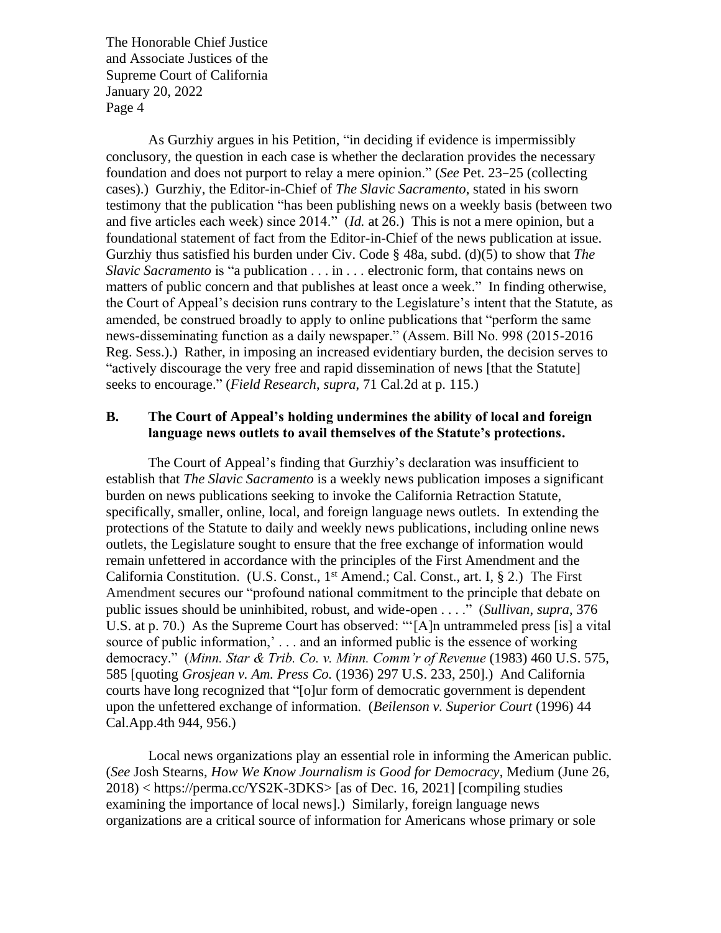As Gurzhiy argues in his Petition, "in deciding if evidence is impermissibly conclusory, the question in each case is whether the declaration provides the necessary foundation and does not purport to relay a mere opinion." (*See* Pet. 23–25 (collecting cases).) Gurzhiy, the Editor-in-Chief of *The Slavic Sacramento*, stated in his sworn testimony that the publication "has been publishing news on a weekly basis (between two and five articles each week) since 2014." (*Id.* at 26.) This is not a mere opinion, but a foundational statement of fact from the Editor-in-Chief of the news publication at issue. Gurzhiy thus satisfied his burden under Civ. Code § 48a, subd. (d)(5) to show that *The Slavic Sacramento* is "a publication . . . in . . . electronic form, that contains news on matters of public concern and that publishes at least once a week." In finding otherwise, the Court of Appeal's decision runs contrary to the Legislature's intent that the Statute, as amended, be construed broadly to apply to online publications that "perform the same news-disseminating function as a daily newspaper." (Assem. Bill No. 998 (2015-2016 Reg. Sess.).) Rather, in imposing an increased evidentiary burden, the decision serves to "actively discourage the very free and rapid dissemination of news [that the Statute] seeks to encourage." (*Field Research*, *supra*, 71 Cal.2d at p. 115.)

#### **B. The Court of Appeal's holding undermines the ability of local and foreign language news outlets to avail themselves of the Statute's protections.**

The Court of Appeal's finding that Gurzhiy's declaration was insufficient to establish that *The Slavic Sacramento* is a weekly news publication imposes a significant burden on news publications seeking to invoke the California Retraction Statute, specifically, smaller, online, local, and foreign language news outlets. In extending the protections of the Statute to daily and weekly news publications, including online news outlets, the Legislature sought to ensure that the free exchange of information would remain unfettered in accordance with the principles of the First Amendment and the California Constitution. (U.S. Const., 1st Amend.; Cal. Const., art. I, § 2.) The First Amendment secures our "profound national commitment to the principle that debate on public issues should be uninhibited, robust, and wide-open . . . ." (*Sullivan*, *supra*, 376 U.S. at p. 70.) As the Supreme Court has observed: "'[A]n untrammeled press [is] a vital source of public information,' . . . and an informed public is the essence of working democracy." (*Minn. Star & Trib. Co. v. Minn. Comm'r of Revenue* (1983) 460 U.S. 575, 585 [quoting *Grosjean v. Am. Press Co.* (1936) 297 U.S. 233, 250].) And California courts have long recognized that "[o]ur form of democratic government is dependent upon the unfettered exchange of information. (*Beilenson v. Superior Court* (1996) 44 Cal.App.4th 944, 956.)

Local news organizations play an essential role in informing the American public. (*See* Josh Stearns, *How We Know Journalism is Good for Democracy*, Medium (June 26, 2018) < https://perma.cc/YS2K-3DKS> [as of Dec. 16, 2021] [compiling studies examining the importance of local news].) Similarly, foreign language news organizations are a critical source of information for Americans whose primary or sole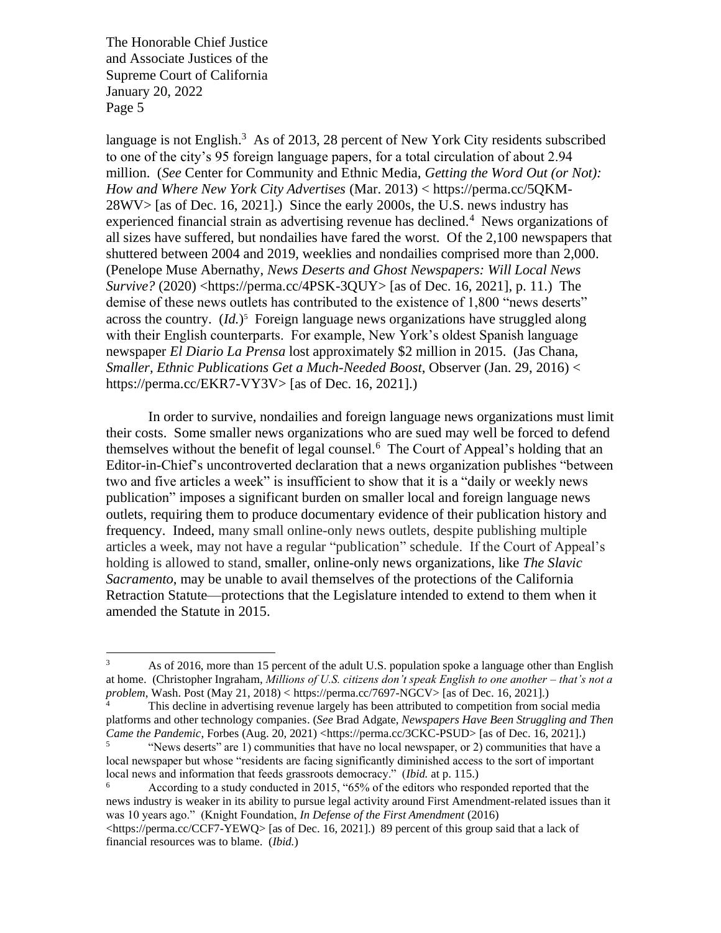language is not English.<sup>3</sup> As of 2013, 28 percent of New York City residents subscribed to one of the city's 95 foreign language papers, for a total circulation of about 2.94 million. (*See* Center for Community and Ethnic Media, *Getting the Word Out (or Not): How and Where New York City Advertises* (Mar. 2013) < https://perma.cc/5QKM- $28WV$  [as of Dec. 16, 2021].) Since the early 2000s, the U.S. news industry has experienced financial strain as advertising revenue has declined.<sup>4</sup> News organizations of all sizes have suffered, but nondailies have fared the worst. Of the 2,100 newspapers that shuttered between 2004 and 2019, weeklies and nondailies comprised more than 2,000. (Penelope Muse Abernathy, *News Deserts and Ghost Newspapers: Will Local News Survive?* (2020) <https://perma.cc/4PSK-3QUY> [as of Dec. 16, 2021], p. 11.) The demise of these news outlets has contributed to the existence of 1,800 "news deserts" across the country. (*Id.*) 5 Foreign language news organizations have struggled along with their English counterparts. For example, New York's oldest Spanish language newspaper *El Diario La Prensa* lost approximately \$2 million in 2015. (Jas Chana, *Smaller, Ethnic Publications Get a Much-Needed Boost*, Observer (Jan. 29, 2016) < https://perma.cc/EKR7-VY3V> [as of Dec. 16, 2021].)

In order to survive, nondailies and foreign language news organizations must limit their costs. Some smaller news organizations who are sued may well be forced to defend themselves without the benefit of legal counsel.<sup>6</sup> The Court of Appeal's holding that an Editor-in-Chief's uncontroverted declaration that a news organization publishes "between two and five articles a week" is insufficient to show that it is a "daily or weekly news publication" imposes a significant burden on smaller local and foreign language news outlets, requiring them to produce documentary evidence of their publication history and frequency. Indeed, many small online-only news outlets, despite publishing multiple articles a week, may not have a regular "publication" schedule. If the Court of Appeal's holding is allowed to stand, smaller, online-only news organizations, like *The Slavic Sacramento*, may be unable to avail themselves of the protections of the California Retraction Statute—protections that the Legislature intended to extend to them when it amended the Statute in 2015.

<sup>&</sup>lt;sup>3</sup> As of 2016, more than 15 percent of the adult U.S. population spoke a language other than English at home. (Christopher Ingraham, *Millions of U.S. citizens don't speak English to one another – that's not a problem*, Wash. Post (May 21, 2018) < https://perma.cc/7697-NGCV> [as of Dec. 16, 2021].)

This decline in advertising revenue largely has been attributed to competition from social media platforms and other technology companies. (*See* Brad Adgate, *Newspapers Have Been Struggling and Then Came the Pandemic*, Forbes (Aug. 20, 2021) <https://perma.cc/3CKC-PSUD> [as of Dec. 16, 2021].)

<sup>5</sup> "News deserts" are 1) communities that have no local newspaper, or 2) communities that have a local newspaper but whose "residents are facing significantly diminished access to the sort of important local news and information that feeds grassroots democracy." (*Ibid.* at p. 115.)

<sup>6</sup> According to a study conducted in 2015, "65% of the editors who responded reported that the news industry is weaker in its ability to pursue legal activity around First Amendment-related issues than it was 10 years ago." (Knight Foundation, *In Defense of the First Amendment* (2016) <https://perma.cc/CCF7-YEWQ> [as of Dec. 16, 2021].) 89 percent of this group said that a lack of financial resources was to blame. (*Ibid.*)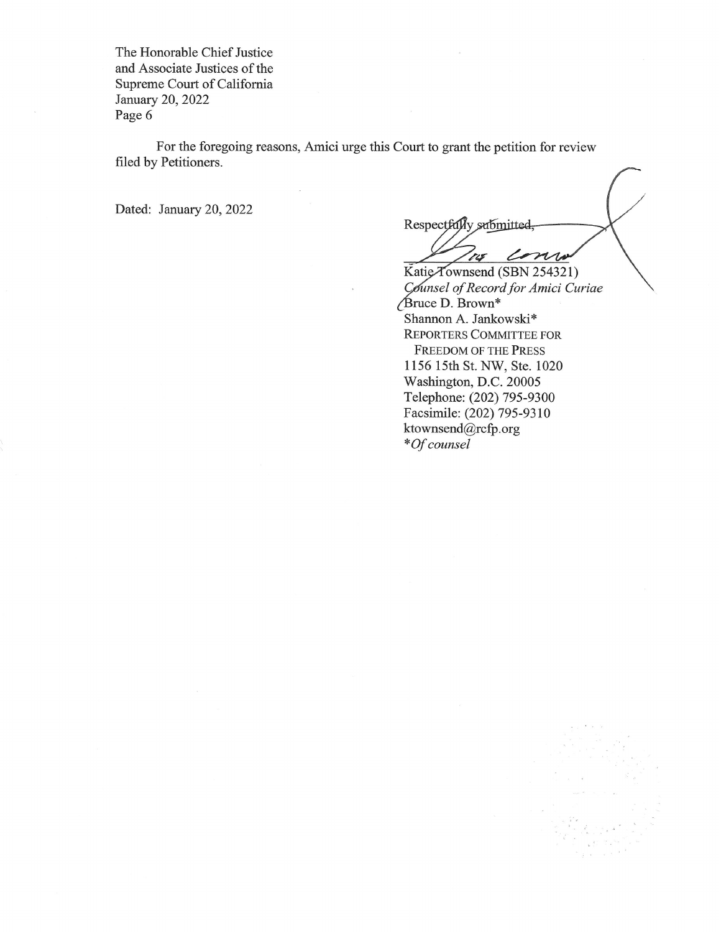For the foregoing reasons, Amici urge this Court to grant the petition for review filed by Petitioners.

Dated: January 20, 2022

Respectfully submitted,

consu tis Katie Townsend (SBN 254321) Counsel of Record for Amici Curiae Bruce D. Brown\* Shannon A. Jankowski\* REPORTERS COMMITTEE FOR FREEDOM OF THE PRESS 1156 15th St. NW, Ste. 1020 Washington, D.C. 20005 Telephone: (202) 795-9300 Facsimile: (202) 795-9310 ktownsend@rcfp.org \*Of counsel

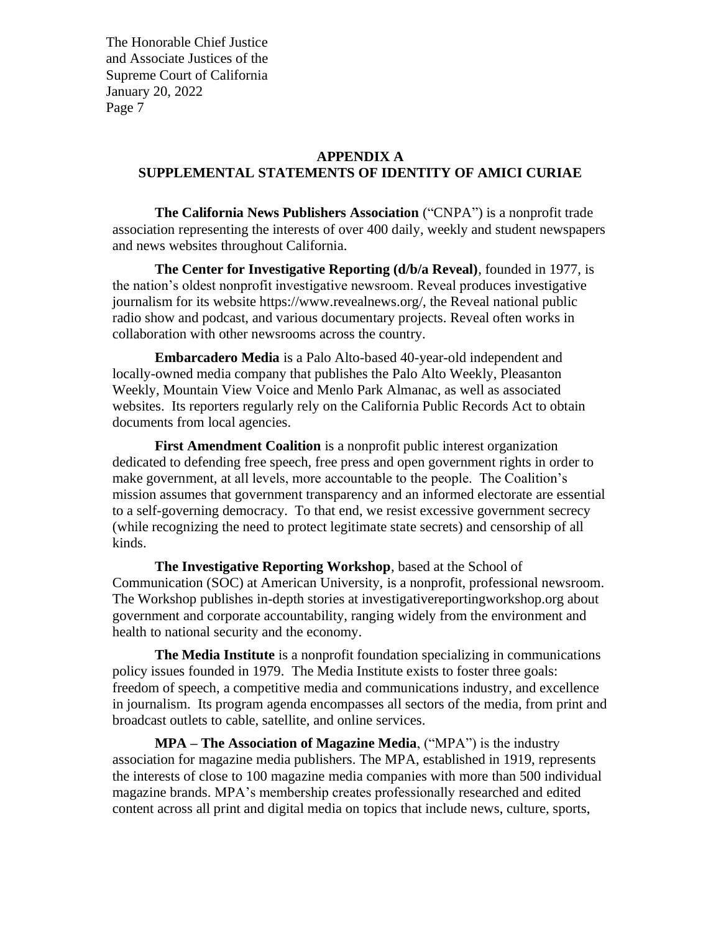#### **APPENDIX A**

## **SUPPLEMENTAL STATEMENTS OF IDENTITY OF AMICI CURIAE**

**The California News Publishers Association** ("CNPA") is a nonprofit trade association representing the interests of over 400 daily, weekly and student newspapers and news websites throughout California.

**The Center for Investigative Reporting (d/b/a Reveal)**, founded in 1977, is the nation's oldest nonprofit investigative newsroom. Reveal produces investigative journalism for its website https://www.revealnews.org/, the Reveal national public radio show and podcast, and various documentary projects. Reveal often works in collaboration with other newsrooms across the country.

**Embarcadero Media** is a Palo Alto-based 40-year-old independent and locally-owned media company that publishes the Palo Alto Weekly, Pleasanton Weekly, Mountain View Voice and Menlo Park Almanac, as well as associated websites. Its reporters regularly rely on the California Public Records Act to obtain documents from local agencies.

**First Amendment Coalition** is a nonprofit public interest organization dedicated to defending free speech, free press and open government rights in order to make government, at all levels, more accountable to the people. The Coalition's mission assumes that government transparency and an informed electorate are essential to a self-governing democracy. To that end, we resist excessive government secrecy (while recognizing the need to protect legitimate state secrets) and censorship of all kinds.

**The Investigative Reporting Workshop**, based at the School of Communication (SOC) at American University, is a nonprofit, professional newsroom. The Workshop publishes in-depth stories at investigativereportingworkshop.org about government and corporate accountability, ranging widely from the environment and health to national security and the economy.

**The Media Institute** is a nonprofit foundation specializing in communications policy issues founded in 1979. The Media Institute exists to foster three goals: freedom of speech, a competitive media and communications industry, and excellence in journalism. Its program agenda encompasses all sectors of the media, from print and broadcast outlets to cable, satellite, and online services.

**MPA – The Association of Magazine Media**, ("MPA") is the industry association for magazine media publishers. The MPA, established in 1919, represents the interests of close to 100 magazine media companies with more than 500 individual magazine brands. MPA's membership creates professionally researched and edited content across all print and digital media on topics that include news, culture, sports,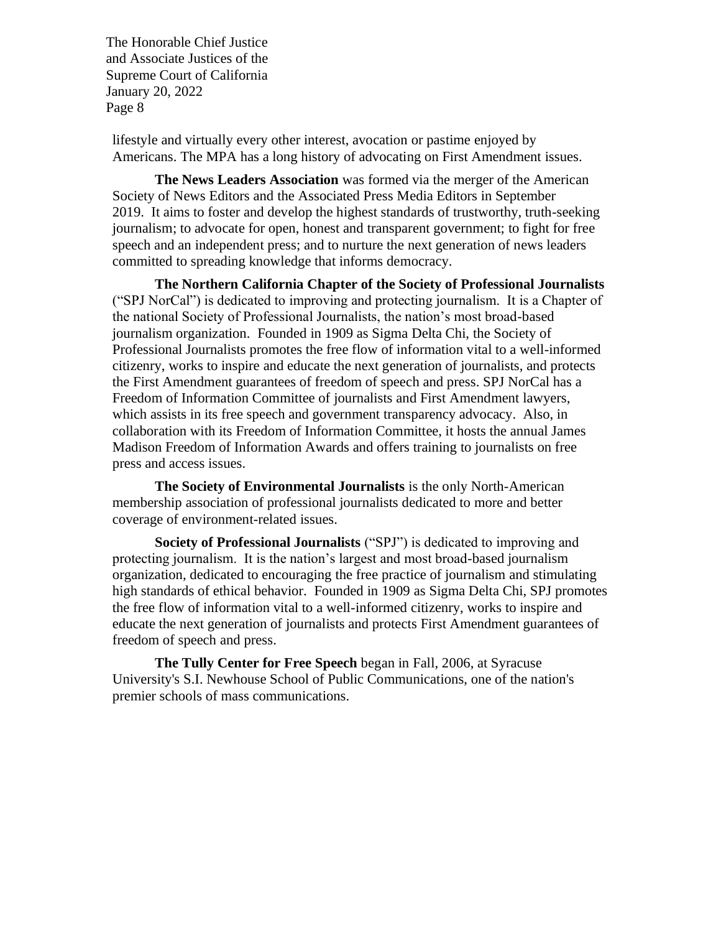lifestyle and virtually every other interest, avocation or pastime enjoyed by Americans. The MPA has a long history of advocating on First Amendment issues.

**The News Leaders Association** was formed via the merger of the American Society of News Editors and the Associated Press Media Editors in September 2019. It aims to foster and develop the highest standards of trustworthy, truth-seeking journalism; to advocate for open, honest and transparent government; to fight for free speech and an independent press; and to nurture the next generation of news leaders committed to spreading knowledge that informs democracy.

**The Northern California Chapter of the Society of Professional Journalists** ("SPJ NorCal") is dedicated to improving and protecting journalism. It is a Chapter of the national Society of Professional Journalists, the nation's most broad-based journalism organization. Founded in 1909 as Sigma Delta Chi, the Society of Professional Journalists promotes the free flow of information vital to a well-informed citizenry, works to inspire and educate the next generation of journalists, and protects the First Amendment guarantees of freedom of speech and press. SPJ NorCal has a Freedom of Information Committee of journalists and First Amendment lawyers, which assists in its free speech and government transparency advocacy. Also, in collaboration with its Freedom of Information Committee, it hosts the annual James Madison Freedom of Information Awards and offers training to journalists on free press and access issues.

**The Society of Environmental Journalists** is the only North-American membership association of professional journalists dedicated to more and better coverage of environment-related issues.

**Society of Professional Journalists** ("SPJ") is dedicated to improving and protecting journalism. It is the nation's largest and most broad-based journalism organization, dedicated to encouraging the free practice of journalism and stimulating high standards of ethical behavior. Founded in 1909 as Sigma Delta Chi, SPJ promotes the free flow of information vital to a well-informed citizenry, works to inspire and educate the next generation of journalists and protects First Amendment guarantees of freedom of speech and press.

**The Tully Center for Free Speech** began in Fall, 2006, at Syracuse University's S.I. Newhouse School of Public Communications, one of the nation's premier schools of mass communications.